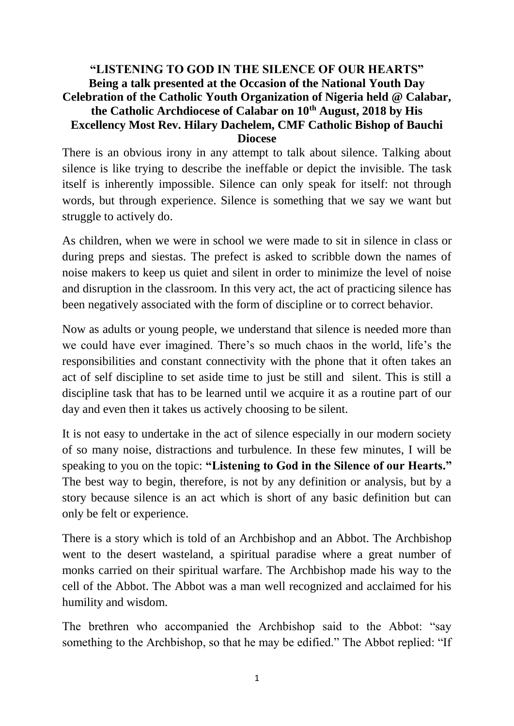#### **"LISTENING TO GOD IN THE SILENCE OF OUR HEARTS" Being a talk presented at the Occasion of the National Youth Day Celebration of the Catholic Youth Organization of Nigeria held @ Calabar, the Catholic Archdiocese of Calabar on 10th August, 2018 by His Excellency Most Rev. Hilary Dachelem, CMF Catholic Bishop of Bauchi Diocese**

There is an obvious irony in any attempt to talk about silence. Talking about silence is like trying to describe the ineffable or depict the invisible. The task itself is inherently impossible. Silence can only speak for itself: not through words, but through experience. Silence is something that we say we want but struggle to actively do.

As children, when we were in school we were made to sit in silence in class or during preps and siestas. The prefect is asked to scribble down the names of noise makers to keep us quiet and silent in order to minimize the level of noise and disruption in the classroom. In this very act, the act of practicing silence has been negatively associated with the form of discipline or to correct behavior.

Now as adults or young people, we understand that silence is needed more than we could have ever imagined. There's so much chaos in the world, life's the responsibilities and constant connectivity with the phone that it often takes an act of self discipline to set aside time to just be still and silent. This is still a discipline task that has to be learned until we acquire it as a routine part of our day and even then it takes us actively choosing to be silent.

It is not easy to undertake in the act of silence especially in our modern society of so many noise, distractions and turbulence. In these few minutes, I will be speaking to you on the topic: **"Listening to God in the Silence of our Hearts."** The best way to begin, therefore, is not by any definition or analysis, but by a story because silence is an act which is short of any basic definition but can only be felt or experience.

There is a story which is told of an Archbishop and an Abbot. The Archbishop went to the desert wasteland, a spiritual paradise where a great number of monks carried on their spiritual warfare. The Archbishop made his way to the cell of the Abbot. The Abbot was a man well recognized and acclaimed for his humility and wisdom.

The brethren who accompanied the Archbishop said to the Abbot: "say something to the Archbishop, so that he may be edified." The Abbot replied: "If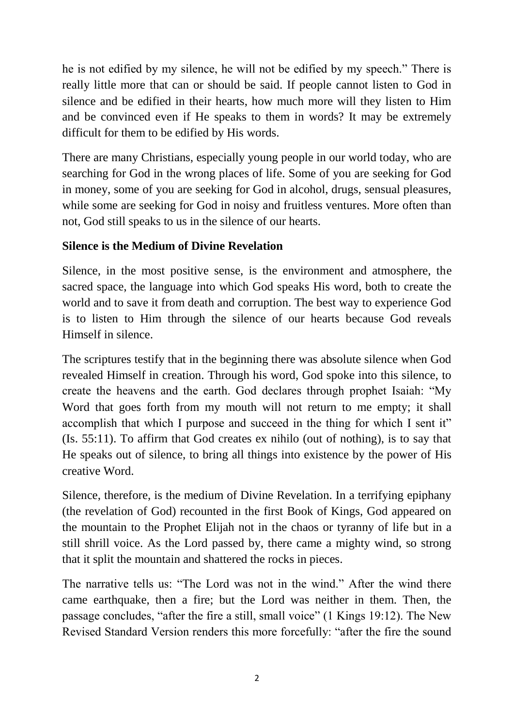he is not edified by my silence, he will not be edified by my speech." There is really little more that can or should be said. If people cannot listen to God in silence and be edified in their hearts, how much more will they listen to Him and be convinced even if He speaks to them in words? It may be extremely difficult for them to be edified by His words.

There are many Christians, especially young people in our world today, who are searching for God in the wrong places of life. Some of you are seeking for God in money, some of you are seeking for God in alcohol, drugs, sensual pleasures, while some are seeking for God in noisy and fruitless ventures. More often than not, God still speaks to us in the silence of our hearts.

# **Silence is the Medium of Divine Revelation**

Silence, in the most positive sense, is the environment and atmosphere, the sacred space, the language into which God speaks His word, both to create the world and to save it from death and corruption. The best way to experience God is to listen to Him through the silence of our hearts because God reveals Himself in silence.

The scriptures testify that in the beginning there was absolute silence when God revealed Himself in creation. Through his word, God spoke into this silence, to create the heavens and the earth. God declares through prophet Isaiah: "My Word that goes forth from my mouth will not return to me empty; it shall accomplish that which I purpose and succeed in the thing for which I sent it" (Is. 55:11). To affirm that God creates ex nihilo (out of nothing), is to say that He speaks out of silence, to bring all things into existence by the power of His creative Word.

Silence, therefore, is the medium of Divine Revelation. In a terrifying epiphany (the revelation of God) recounted in the first Book of Kings, God appeared on the mountain to the Prophet Elijah not in the chaos or tyranny of life but in a still shrill voice. As the Lord passed by, there came a mighty wind, so strong that it split the mountain and shattered the rocks in pieces.

The narrative tells us: "The Lord was not in the wind." After the wind there came earthquake, then a fire; but the Lord was neither in them. Then, the passage concludes, "after the fire a still, small voice" (1 Kings 19:12). The New Revised Standard Version renders this more forcefully: "after the fire the sound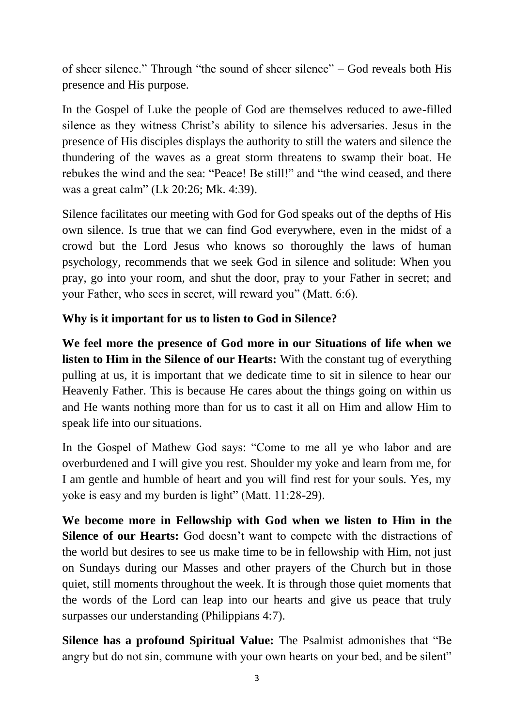of sheer silence." Through "the sound of sheer silence" – God reveals both His presence and His purpose.

In the Gospel of Luke the people of God are themselves reduced to awe-filled silence as they witness Christ's ability to silence his adversaries. Jesus in the presence of His disciples displays the authority to still the waters and silence the thundering of the waves as a great storm threatens to swamp their boat. He rebukes the wind and the sea: "Peace! Be still!" and "the wind ceased, and there was a great calm" (Lk 20:26; Mk. 4:39).

Silence facilitates our meeting with God for God speaks out of the depths of His own silence. Is true that we can find God everywhere, even in the midst of a crowd but the Lord Jesus who knows so thoroughly the laws of human psychology, recommends that we seek God in silence and solitude: When you pray, go into your room, and shut the door, pray to your Father in secret; and your Father, who sees in secret, will reward you" (Matt. 6:6).

### **Why is it important for us to listen to God in Silence?**

**We feel more the presence of God more in our Situations of life when we listen to Him in the Silence of our Hearts:** With the constant tug of everything pulling at us, it is important that we dedicate time to sit in silence to hear our Heavenly Father. This is because He cares about the things going on within us and He wants nothing more than for us to cast it all on Him and allow Him to speak life into our situations.

In the Gospel of Mathew God says: "Come to me all ye who labor and are overburdened and I will give you rest. Shoulder my yoke and learn from me, for I am gentle and humble of heart and you will find rest for your souls. Yes, my yoke is easy and my burden is light" (Matt. 11:28-29).

**We become more in Fellowship with God when we listen to Him in the Silence of our Hearts:** God doesn't want to compete with the distractions of the world but desires to see us make time to be in fellowship with Him, not just on Sundays during our Masses and other prayers of the Church but in those quiet, still moments throughout the week. It is through those quiet moments that the words of the Lord can leap into our hearts and give us peace that truly surpasses our understanding (Philippians 4:7).

**Silence has a profound Spiritual Value:** The Psalmist admonishes that "Be angry but do not sin, commune with your own hearts on your bed, and be silent"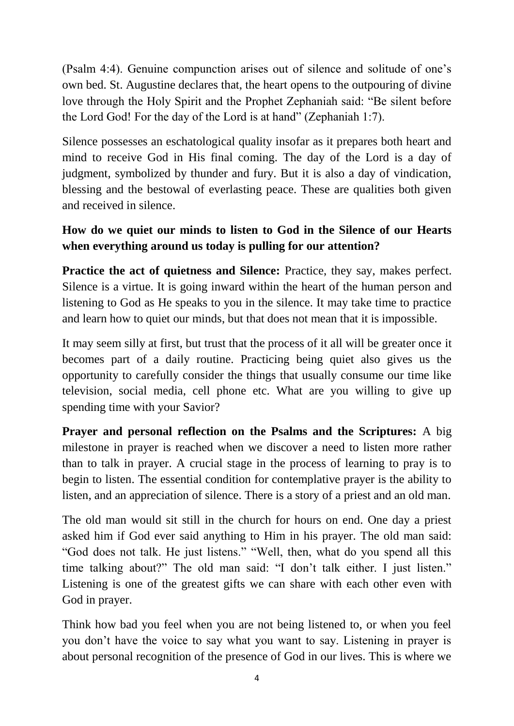(Psalm 4:4). Genuine compunction arises out of silence and solitude of one's own bed. St. Augustine declares that, the heart opens to the outpouring of divine love through the Holy Spirit and the Prophet Zephaniah said: "Be silent before the Lord God! For the day of the Lord is at hand" (Zephaniah 1:7).

Silence possesses an eschatological quality insofar as it prepares both heart and mind to receive God in His final coming. The day of the Lord is a day of judgment, symbolized by thunder and fury. But it is also a day of vindication, blessing and the bestowal of everlasting peace. These are qualities both given and received in silence.

# **How do we quiet our minds to listen to God in the Silence of our Hearts when everything around us today is pulling for our attention?**

**Practice the act of quietness and Silence:** Practice, they say, makes perfect. Silence is a virtue. It is going inward within the heart of the human person and listening to God as He speaks to you in the silence. It may take time to practice and learn how to quiet our minds, but that does not mean that it is impossible.

It may seem silly at first, but trust that the process of it all will be greater once it becomes part of a daily routine. Practicing being quiet also gives us the opportunity to carefully consider the things that usually consume our time like television, social media, cell phone etc. What are you willing to give up spending time with your Savior?

**Prayer and personal reflection on the Psalms and the Scriptures:** A big milestone in prayer is reached when we discover a need to listen more rather than to talk in prayer. A crucial stage in the process of learning to pray is to begin to listen. The essential condition for contemplative prayer is the ability to listen, and an appreciation of silence. There is a story of a priest and an old man.

The old man would sit still in the church for hours on end. One day a priest asked him if God ever said anything to Him in his prayer. The old man said: "God does not talk. He just listens." "Well, then, what do you spend all this time talking about?" The old man said: "I don't talk either. I just listen." Listening is one of the greatest gifts we can share with each other even with God in prayer.

Think how bad you feel when you are not being listened to, or when you feel you don't have the voice to say what you want to say. Listening in prayer is about personal recognition of the presence of God in our lives. This is where we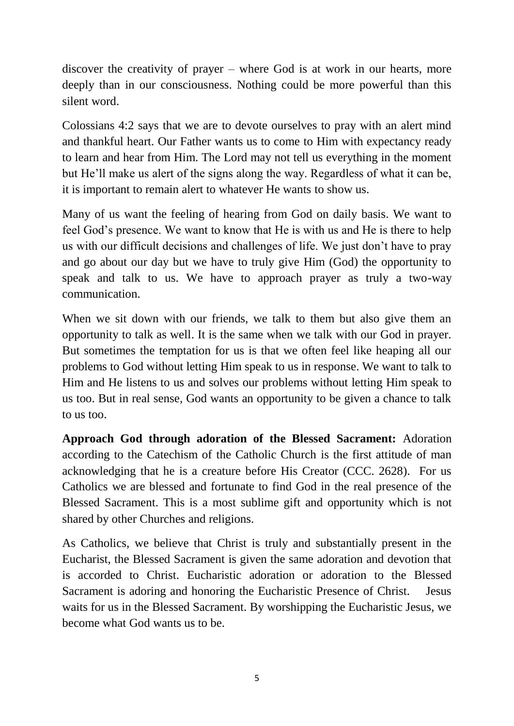discover the creativity of prayer – where God is at work in our hearts, more deeply than in our consciousness. Nothing could be more powerful than this silent word.

Colossians 4:2 says that we are to devote ourselves to pray with an alert mind and thankful heart. Our Father wants us to come to Him with expectancy ready to learn and hear from Him. The Lord may not tell us everything in the moment but He'll make us alert of the signs along the way. Regardless of what it can be, it is important to remain alert to whatever He wants to show us.

Many of us want the feeling of hearing from God on daily basis. We want to feel God's presence. We want to know that He is with us and He is there to help us with our difficult decisions and challenges of life. We just don't have to pray and go about our day but we have to truly give Him (God) the opportunity to speak and talk to us. We have to approach prayer as truly a two-way communication.

When we sit down with our friends, we talk to them but also give them an opportunity to talk as well. It is the same when we talk with our God in prayer. But sometimes the temptation for us is that we often feel like heaping all our problems to God without letting Him speak to us in response. We want to talk to Him and He listens to us and solves our problems without letting Him speak to us too. But in real sense, God wants an opportunity to be given a chance to talk to us too.

**Approach God through adoration of the Blessed Sacrament:** Adoration according to the Catechism of the Catholic Church is the first attitude of man acknowledging that he is a creature before His Creator (CCC. 2628). For us Catholics we are blessed and fortunate to find God in the real presence of the Blessed Sacrament. This is a most sublime gift and opportunity which is not shared by other Churches and religions.

As Catholics, we believe that Christ is truly and substantially present in the Eucharist, the Blessed Sacrament is given the same adoration and devotion that is accorded to Christ. Eucharistic adoration or adoration to the Blessed Sacrament is adoring and honoring the Eucharistic Presence of Christ. Jesus waits for us in the Blessed Sacrament. By worshipping the Eucharistic Jesus, we become what God wants us to be.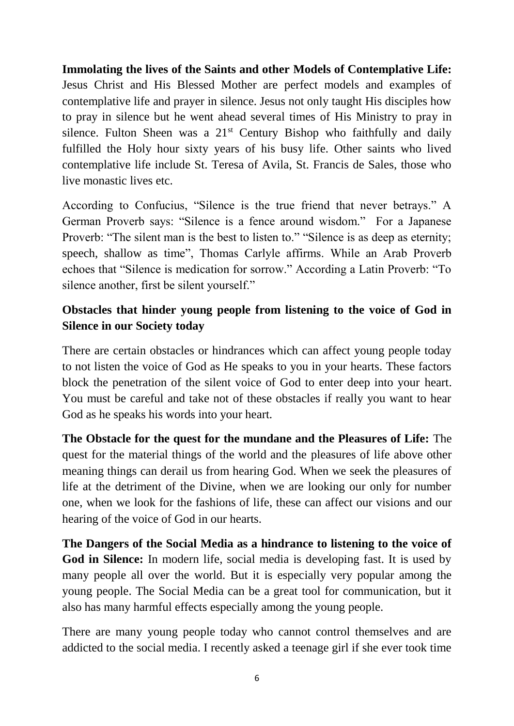**Immolating the lives of the Saints and other Models of Contemplative Life:**  Jesus Christ and His Blessed Mother are perfect models and examples of contemplative life and prayer in silence. Jesus not only taught His disciples how to pray in silence but he went ahead several times of His Ministry to pray in silence. Fulton Sheen was a  $21<sup>st</sup>$  Century Bishop who faithfully and daily fulfilled the Holy hour sixty years of his busy life. Other saints who lived contemplative life include St. Teresa of Avila, St. Francis de Sales, those who live monastic lives etc.

According to Confucius, "Silence is the true friend that never betrays." A German Proverb says: "Silence is a fence around wisdom." For a Japanese Proverb: "The silent man is the best to listen to." "Silence is as deep as eternity; speech, shallow as time", Thomas Carlyle affirms. While an Arab Proverb echoes that "Silence is medication for sorrow." According a Latin Proverb: "To silence another, first be silent yourself."

# **Obstacles that hinder young people from listening to the voice of God in Silence in our Society today**

There are certain obstacles or hindrances which can affect young people today to not listen the voice of God as He speaks to you in your hearts. These factors block the penetration of the silent voice of God to enter deep into your heart. You must be careful and take not of these obstacles if really you want to hear God as he speaks his words into your heart.

**The Obstacle for the quest for the mundane and the Pleasures of Life:** The quest for the material things of the world and the pleasures of life above other meaning things can derail us from hearing God. When we seek the pleasures of life at the detriment of the Divine, when we are looking our only for number one, when we look for the fashions of life, these can affect our visions and our hearing of the voice of God in our hearts.

**The Dangers of the Social Media as a hindrance to listening to the voice of God in Silence:** In modern life, social media is developing fast. It is used by many people all over the world. But it is especially very popular among the young people. The Social Media can be a great tool for communication, but it also has many harmful effects especially among the young people.

There are many young people today who cannot control themselves and are addicted to the social media. I recently asked a teenage girl if she ever took time